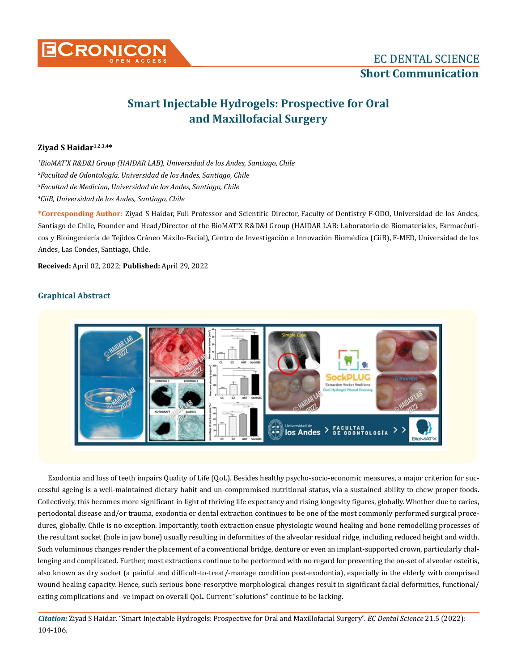

# **Smart Injectable Hydrogels: Prospective for Oral and Maxillofacial Surgery**

## **Ziyad S Haidar1,2,3,4\***

 *BioMAT'X R&D&I Group (HAIDAR LAB), Universidad de los Andes, Santiago, Chile Facultad de Odontología, Universidad de los Andes, Santiago, Chile Facultad de Medicina, Universidad de los Andes, Santiago, Chile CiiB, Universidad de los Andes, Santiago, Chile*

**\*Corresponding Author**: Ziyad S Haidar, Full Professor and Scientific Director, Faculty of Dentistry F-ODO, Universidad de los Andes, Santiago de Chile, Founder and Head/Director of the BioMAT'X R&D&I Group (HAIDAR LAB: Laboratorio de Biomateriales, Farmacéuticos y Bioingeniería de Tejidos Cráneo Máxilo-Facial), Centro de Investigación e Innovación Biomédica (CiiB), F-MED, Universidad de los Andes, Las Condes, Santiago, Chile.

**Received:** April 02, 2022; **Published:** April 29, 2022

## **Graphical Abstract**



Exodontia and loss of teeth impairs Quality of Life (QoL). Besides healthy psycho-socio-economic measures, a major criterion for successful ageing is a well-maintained dietary habit and un-compromised nutritional status, via a sustained ability to chew proper foods. Collectively, this becomes more significant in light of thriving life expectancy and rising longevity figures, globally. Whether due to caries, periodontal disease and/or trauma, exodontia or dental extraction continues to be one of the most commonly performed surgical procedures, globally. Chile is no exception. Importantly, tooth extraction ensue physiologic wound healing and bone remodelling processes of the resultant socket (hole in jaw bone) usually resulting in deformities of the alveolar residual ridge, including reduced height and width. Such voluminous changes render the placement of a conventional bridge, denture or even an implant-supported crown, particularly challenging and complicated. Further, most extractions continue to be performed with no regard for preventing the on-set of alveolar osteitis, also known as dry socket (a painful and difficult-to-treat/-manage condition post-exodontia), especially in the elderly with comprised wound healing capacity. Hence, such serious bone-resorptive morphological changes result in significant facial deformities, functional/ eating complications and -ve impact on overall QoL. Current "solutions" continue to be lacking.

*Citation:* Ziyad S Haidar*.* "Smart Injectable Hydrogels: Prospective for Oral and Maxillofacial Surgery". *EC Dental Science* 21.5 (2022): 104-106.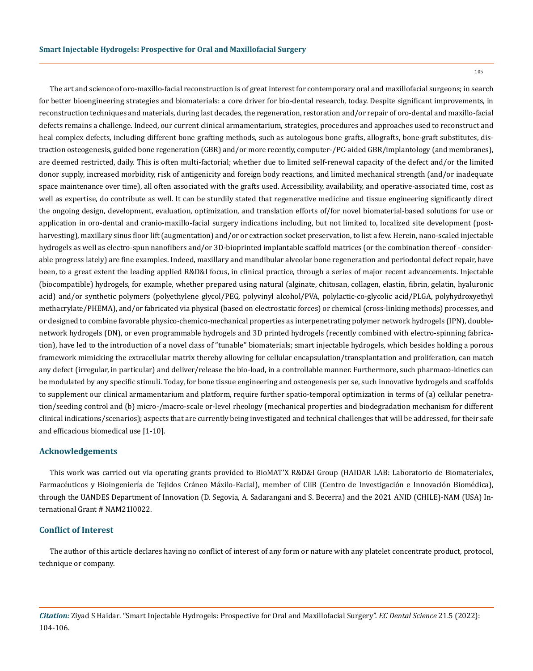The art and science of oro-maxillo-facial reconstruction is of great interest for contemporary oral and maxillofacial surgeons; in search for better bioengineering strategies and biomaterials: a core driver for bio-dental research, today. Despite significant improvements, in reconstruction techniques and materials, during last decades, the regeneration, restoration and/or repair of oro-dental and maxillo-facial defects remains a challenge. Indeed, our current clinical armamentarium, strategies, procedures and approaches used to reconstruct and heal complex defects, including different bone grafting methods, such as autologous bone grafts, allografts, bone-graft substitutes, distraction osteogenesis, guided bone regeneration (GBR) and/or more recently, computer-/PC-aided GBR/implantology (and membranes), are deemed restricted, daily. This is often multi-factorial; whether due to limited self-renewal capacity of the defect and/or the limited donor supply, increased morbidity, risk of antigenicity and foreign body reactions, and limited mechanical strength (and/or inadequate space maintenance over time), all often associated with the grafts used. Accessibility, availability, and operative-associated time, cost as well as expertise, do contribute as well. It can be sturdily stated that regenerative medicine and tissue engineering significantly direct the ongoing design, development, evaluation, optimization, and translation efforts of/for novel biomaterial-based solutions for use or application in oro-dental and cranio-maxillo-facial surgery indications including, but not limited to, localized site development (postharvesting), maxillary sinus floor lift (augmentation) and/or or extraction socket preservation, to list a few. Herein, nano-scaled injectable hydrogels as well as electro-spun nanofibers and/or 3D-bioprinted implantable scaffold matrices (or the combination thereof - considerable progress lately) are fine examples. Indeed, maxillary and mandibular alveolar bone regeneration and periodontal defect repair, have been, to a great extent the leading applied R&D&I focus, in clinical practice, through a series of major recent advancements. Injectable (biocompatible) hydrogels, for example, whether prepared using natural (alginate, chitosan, collagen, elastin, fibrin, gelatin, hyaluronic acid) and/or synthetic polymers (polyethylene glycol/PEG, polyvinyl alcohol/PVA, polylactic-co-glycolic acid/PLGA, polyhydroxyethyl methacrylate/PHEMA), and/or fabricated via physical (based on electrostatic forces) or chemical (cross-linking methods) processes, and or designed to combine favorable physico-chemico-mechanical properties as interpenetrating polymer network hydrogels (IPN), doublenetwork hydrogels (DN), or even programmable hydrogels and 3D printed hydrogels (recently combined with electro-spinning fabrication), have led to the introduction of a novel class of "tunable" biomaterials; smart injectable hydrogels, which besides holding a porous framework mimicking the extracellular matrix thereby allowing for cellular encapsulation/transplantation and proliferation, can match any defect (irregular, in particular) and deliver/release the bio-load, in a controllable manner. Furthermore, such pharmaco-kinetics can be modulated by any specific stimuli. Today, for bone tissue engineering and osteogenesis per se, such innovative hydrogels and scaffolds to supplement our clinical armamentarium and platform, require further spatio-temporal optimization in terms of (a) cellular penetration/seeding control and (b) micro-/macro-scale or-level rheology (mechanical properties and biodegradation mechanism for different clinical indications/scenarios); aspects that are currently being investigated and technical challenges that will be addressed, for their safe and efficacious biomedical use [1-10].

#### **Acknowledgements**

This work was carried out via operating grants provided to BioMAT'X R&D&I Group (HAIDAR LAB: Laboratorio de Biomateriales, Farmacéuticos y Bioingeniería de Tejidos Cráneo Máxilo-Facial), member of CiiB (Centro de Investigación e Innovación Biomédica), through the UANDES Department of Innovation (D. Segovia, A. Sadarangani and S. Becerra) and the 2021 ANID (CHILE)-NAM (USA) International Grant # NAM21I0022.

#### **Conflict of Interest**

The author of this article declares having no conflict of interest of any form or nature with any platelet concentrate product, protocol, technique or company.

*Citation:* Ziyad S Haidar*.* "Smart Injectable Hydrogels: Prospective for Oral and Maxillofacial Surgery". *EC Dental Science* 21.5 (2022): 104-106.

105